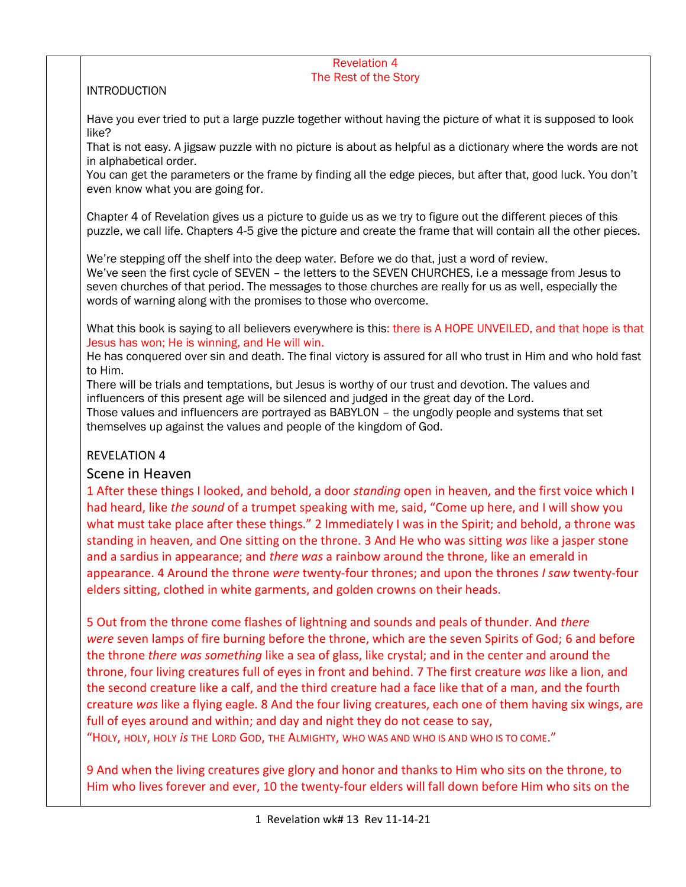## Revelation 4 The Rest of the Story **INTRODUCTION** Have you ever tried to put a large puzzle together without having the picture of what it is supposed to look like? That is not easy. A jigsaw puzzle with no picture is about as helpful as a dictionary where the words are not in alphabetical order. You can get the parameters or the frame by finding all the edge pieces, but after that, good luck. You don't even know what you are going for. Chapter 4 of Revelation gives us a picture to guide us as we try to figure out the different pieces of this puzzle, we call life. Chapters 4-5 give the picture and create the frame that will contain all the other pieces. We're stepping off the shelf into the deep water. Before we do that, just a word of review. We've seen the first cycle of SEVEN - the letters to the SEVEN CHURCHES, i.e a message from Jesus to seven churches of that period. The messages to those churches are really for us as well, especially the words of warning along with the promises to those who overcome. What this book is saying to all believers everywhere is this: there is A HOPE UNVEILED, and that hope is that Jesus has won; He is winning, and He will win. He has conquered over sin and death. The final victory is assured for all who trust in Him and who hold fast to Him. There will be trials and temptations, but Jesus is worthy of our trust and devotion. The values and influencers of this present age will be silenced and judged in the great day of the Lord. Those values and influencers are portrayed as BABYLON – the ungodly people and systems that set themselves up against the values and people of the kingdom of God. REVELATION 4 Scene in Heaven 1 After these things I looked, and behold, a door *standing* open in heaven, and the first voice which I had heard, like *the sound* of a trumpet speaking with me, said, "Come up here, and I will show you what must take place after these things." 2 Immediately I was in the Spirit; and behold, a throne was standing in heaven, and One sitting on the throne. 3 And He who was sitting *was* like a jasper stone and a sardius in appearance; and *there was* a rainbow around the throne, like an emerald in appearance. 4 Around the throne *were* twenty-four thrones; and upon the thrones *I saw* twenty-four elders sitting, clothed in white garments, and golden crowns on their heads. 5 Out from the throne come flashes of lightning and sounds and peals of thunder. And *there were* seven lamps of fire burning before the throne, which are the seven Spirits of God; 6 and before the throne *there was something* like a sea of glass, like crystal; and in the center and around the throne, four living creatures full of eyes in front and behind. 7 The first creature *was* like a lion, and the second creature like a calf, and the third creature had a face like that of a man, and the fourth creature *was* like a flying eagle. 8 And the four living creatures, each one of them having six wings, are

"HOLY, HOLY, HOLY *is* THE LORD GOD, THE ALMIGHTY, WHO WAS AND WHO IS AND WHO IS TO COME."

full of eyes around and within; and day and night they do not cease to say,

9 And when the living creatures give glory and honor and thanks to Him who sits on the throne, to Him who lives forever and ever, 10 the twenty-four elders will fall down before Him who sits on the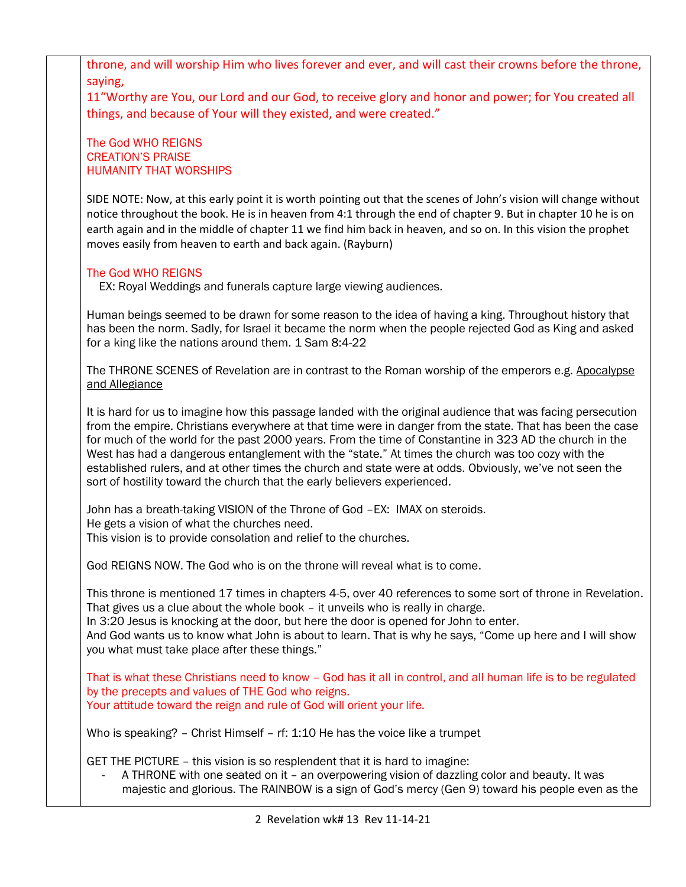throne, and will worship Him who lives forever and ever, and will cast their crowns before the throne, saying,

11"Worthy are You, our Lord and our God, to receive glory and honor and power; for You created all things, and because of Your will they existed, and were created."

The God WHO REIGNS CREATION'S PRAISE HUMANITY THAT WORSHIPS

SIDE NOTE: Now, at this early point it is worth pointing out that the scenes of John's vision will change without notice throughout the book. He is in heaven from 4:1 through the end of chapter 9. But in chapter 10 he is on earth again and in the middle of chapter 11 we find him back in heaven, and so on. In this vision the prophet moves easily from heaven to earth and back again. (Rayburn)

## The God WHO REIGNS

EX: Royal Weddings and funerals capture large viewing audiences.

Human beings seemed to be drawn for some reason to the idea of having a king. Throughout history that has been the norm. Sadly, for Israel it became the norm when the people rejected God as King and asked for a king like the nations around them. 1 Sam 8:4-22

The THRONE SCENES of Revelation are in contrast to the Roman worship of the emperors e.g. Apocalypse and Allegiance

It is hard for us to imagine how this passage landed with the original audience that was facing persecution from the empire. Christians everywhere at that time were in danger from the state. That has been the case for much of the world for the past 2000 years. From the time of Constantine in 323 AD the church in the West has had a dangerous entanglement with the "state." At times the church was too cozy with the established rulers, and at other times the church and state were at odds. Obviously, we've not seen the sort of hostility toward the church that the early believers experienced.

John has a breath-taking VISION of the Throne of God –EX: IMAX on steroids. He gets a vision of what the churches need. This vision is to provide consolation and relief to the churches.

God REIGNS NOW. The God who is on the throne will reveal what is to come.

This throne is mentioned 17 times in chapters 4-5, over 40 references to some sort of throne in Revelation. That gives us a clue about the whole book – it unveils who is really in charge.

In 3:20 Jesus is knocking at the door, but here the door is opened for John to enter.

And God wants us to know what John is about to learn. That is why he says, "Come up here and I will show you what must take place after these things."

That is what these Christians need to know – God has it all in control, and all human life is to be regulated by the precepts and values of THE God who reigns. Your attitude toward the reign and rule of God will orient your life.

Who is speaking? - Christ Himself - rf: 1:10 He has the voice like a trumpet

GET THE PICTURE – this vision is so resplendent that it is hard to imagine:

A THRONE with one seated on it - an overpowering vision of dazzling color and beauty. It was majestic and glorious. The RAINBOW is a sign of God's mercy (Gen 9) toward his people even as the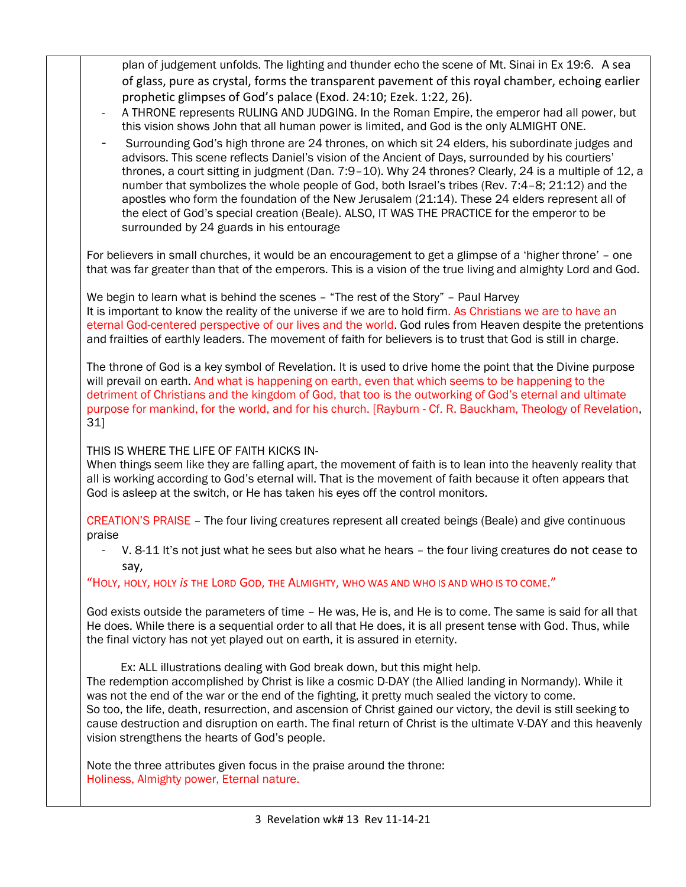plan of judgement unfolds. The lighting and thunder echo the scene of Mt. Sinai in Ex 19:6. A sea of glass, pure as crystal, forms the transparent pavement of this royal chamber, echoing earlier prophetic glimpses of God's palace (Exod. 24:10; Ezek. 1:22, 26).

- A THRONE represents RULING AND JUDGING. In the Roman Empire, the emperor had all power, but this vision shows John that all human power is limited, and God is the only ALMIGHT ONE.
- Surrounding God's high throne are 24 thrones, on which sit 24 elders, his subordinate judges and advisors. This scene reflects Daniel's vision of the Ancient of Days, surrounded by his courtiers' thrones, a court sitting in judgment (Dan. 7:9–10). Why 24 thrones? Clearly, 24 is a multiple of 12, a number that symbolizes the whole people of God, both Israel's tribes (Rev. 7:4–8; 21:12) and the apostles who form the foundation of the New Jerusalem (21:14). These 24 elders represent all of the elect of God's special creation (Beale). ALSO, IT WAS THE PRACTICE for the emperor to be surrounded by 24 guards in his entourage

For believers in small churches, it would be an encouragement to get a glimpse of a 'higher throne' – one that was far greater than that of the emperors. This is a vision of the true living and almighty Lord and God.

We begin to learn what is behind the scenes – "The rest of the Story" – Paul Harvey It is important to know the reality of the universe if we are to hold firm. As Christians we are to have an eternal God-centered perspective of our lives and the world. God rules from Heaven despite the pretentions and frailties of earthly leaders. The movement of faith for believers is to trust that God is still in charge.

The throne of God is a key symbol of Revelation. It is used to drive home the point that the Divine purpose will prevail on earth. And what is happening on earth, even that which seems to be happening to the detriment of Christians and the kingdom of God, that too is the outworking of God's eternal and ultimate purpose for mankind, for the world, and for his church. [Rayburn - Cf. R. Bauckham, Theology of Revelation, 31]

## THIS IS WHERE THE LIFE OF FAITH KICKS IN-

When things seem like they are falling apart, the movement of faith is to lean into the heavenly reality that all is working according to God's eternal will. That is the movement of faith because it often appears that God is asleep at the switch, or He has taken his eyes off the control monitors.

CREATION'S PRAISE – The four living creatures represent all created beings (Beale) and give continuous praise

V. 8-11 It's not just what he sees but also what he hears – the four living creatures do not cease to say,

"HOLY, HOLY, HOLY *is* THE LORD GOD, THE ALMIGHTY, WHO WAS AND WHO IS AND WHO IS TO COME."

God exists outside the parameters of time – He was, He is, and He is to come. The same is said for all that He does. While there is a sequential order to all that He does, it is all present tense with God. Thus, while the final victory has not yet played out on earth, it is assured in eternity.

Ex: ALL illustrations dealing with God break down, but this might help.

The redemption accomplished by Christ is like a cosmic D-DAY (the Allied landing in Normandy). While it was not the end of the war or the end of the fighting, it pretty much sealed the victory to come. So too, the life, death, resurrection, and ascension of Christ gained our victory, the devil is still seeking to cause destruction and disruption on earth. The final return of Christ is the ultimate V-DAY and this heavenly vision strengthens the hearts of God's people.

Note the three attributes given focus in the praise around the throne: Holiness, Almighty power, Eternal nature.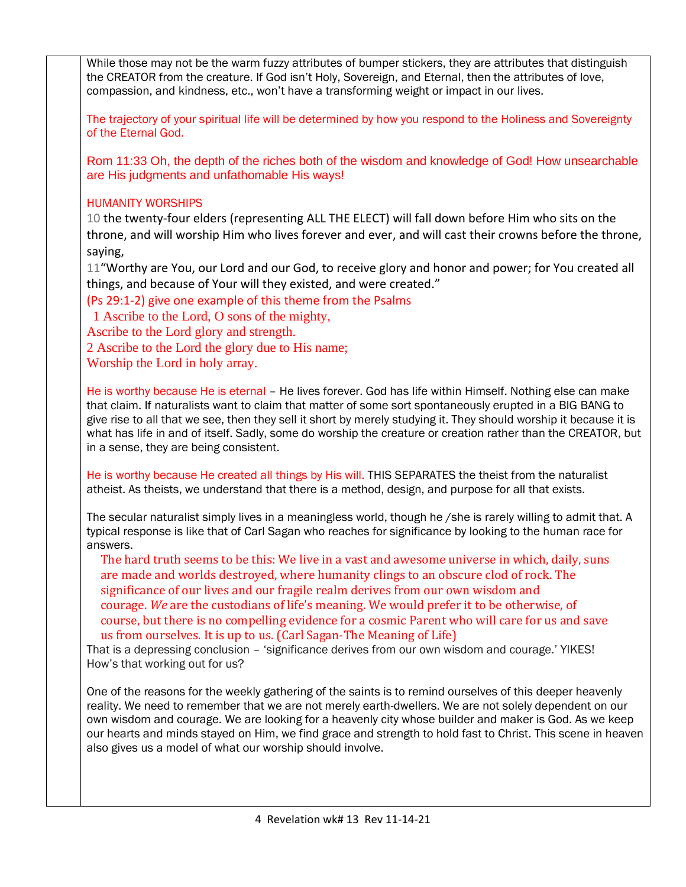While those may not be the warm fuzzy attributes of bumper stickers, they are attributes that distinguish the CREATOR from the creature. If God isn't Holy, Sovereign, and Eternal, then the attributes of love, compassion, and kindness, etc., won't have a transforming weight or impact in our lives. The trajectory of your spiritual life will be determined by how you respond to the Holiness and Sovereignty of the Eternal God. Rom 11:33 Oh, the depth of the riches both of the wisdom and knowledge of God! How unsearchable are His judgments and unfathomable His ways! HUMANITY WORSHIPS 10 the twenty-four elders (representing ALL THE ELECT) will fall down before Him who sits on the throne, and will worship Him who lives forever and ever, and will cast their crowns before the throne, saying, 11"Worthy are You, our Lord and our God, to receive glory and honor and power; for You created all things, and because of Your will they existed, and were created." (Ps 29:1-2) give one example of this theme from the Psalms 1 Ascribe to the Lord, O sons of the mighty, Ascribe to the Lord glory and strength. 2 Ascribe to the Lord the glory due to His name; Worship the Lord in holy array. He is worthy because He is eternal – He lives forever. God has life within Himself. Nothing else can make that claim. If naturalists want to claim that matter of some sort spontaneously erupted in a BIG BANG to give rise to all that we see, then they sell it short by merely studying it. They should worship it because it is what has life in and of itself. Sadly, some do worship the creature or creation rather than the CREATOR, but in a sense, they are being consistent. He is worthy because He created all things by His will. THIS SEPARATES the theist from the naturalist atheist. As theists, we understand that there is a method, design, and purpose for all that exists. The secular naturalist simply lives in a meaningless world, though he /she is rarely willing to admit that. A typical response is like that of Carl Sagan who reaches for significance by looking to the human race for answers. The hard truth seems to be this: We live in a vast and awesome universe in which, daily, suns are made and worlds destroyed, where humanity clings to an obscure clod of rock. The significance of our lives and our fragile realm derives from our own wisdom and courage. *We* are the custodians of life's meaning. We would prefer it to be otherwise, of course, but there is no compelling evidence for a cosmic Parent who will care for us and save us from ourselves. It is up to us. (Carl Sagan-The Meaning of Life) That is a depressing conclusion – 'significance derives from our own wisdom and courage.' YIKES! How's that working out for us? One of the reasons for the weekly gathering of the saints is to remind ourselves of this deeper heavenly reality. We need to remember that we are not merely earth-dwellers. We are not solely dependent on our own wisdom and courage. We are looking for a heavenly city whose builder and maker is God. As we keep our hearts and minds stayed on Him, we find grace and strength to hold fast to Christ. This scene in heaven also gives us a model of what our worship should involve.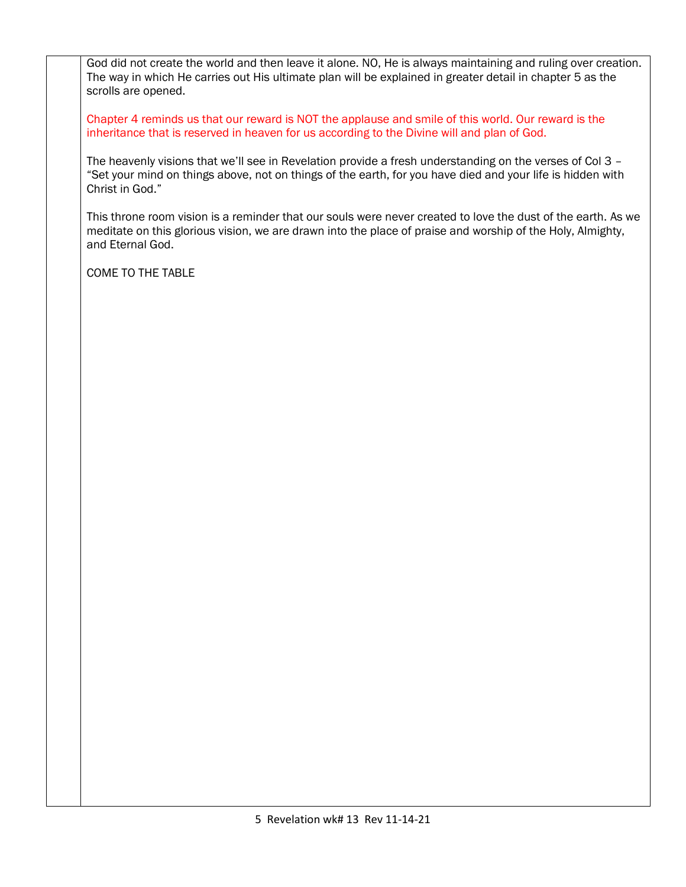God did not create the world and then leave it alone. NO, He is always maintaining and ruling over creation. The way in which He carries out His ultimate plan will be explained in greater detail in chapter 5 as the scrolls are opened.

Chapter 4 reminds us that our reward is NOT the applause and smile of this world. Our reward is the inheritance that is reserved in heaven for us according to the Divine will and plan of God.

The heavenly visions that we'll see in Revelation provide a fresh understanding on the verses of Col 3 – "Set your mind on things above, not on things of the earth, for you have died and your life is hidden with Christ in God."

This throne room vision is a reminder that our souls were never created to love the dust of the earth. As we meditate on this glorious vision, we are drawn into the place of praise and worship of the Holy, Almighty, and Eternal God.

COME TO THE TABLE